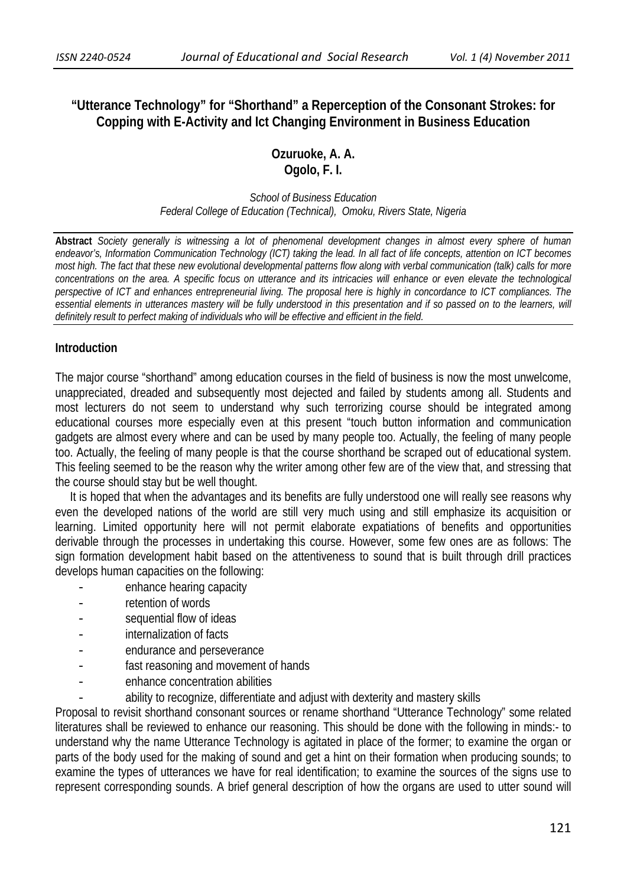# **"Utterance Technology" for "Shorthand" a Reperception of the Consonant Strokes: for Copping with E-Activity and Ict Changing Environment in Business Education**

# **Ozuruoke, A. A. Ogolo, F. I.**

*School of Business Education Federal College of Education (Technical), Omoku, Rivers State, Nigeria* 

**Abstract** *Society generally is witnessing a lot of phenomenal development changes in almost every sphere of human endeavor's, Information Communication Technology (ICT) taking the lead. In all fact of life concepts, attention on ICT becomes most high. The fact that these new evolutional developmental patterns flow along with verbal communication (talk) calls for more concentrations on the area. A specific focus on utterance and its intricacies will enhance or even elevate the technological perspective of ICT and enhances entrepreneurial living. The proposal here is highly in concordance to ICT compliances. The*  essential elements in utterances mastery will be fully understood in this presentation and if so passed on to the learners, will *definitely result to perfect making of individuals who will be effective and efficient in the field.*

### **Introduction**

The major course "shorthand" among education courses in the field of business is now the most unwelcome, unappreciated, dreaded and subsequently most dejected and failed by students among all. Students and most lecturers do not seem to understand why such terrorizing course should be integrated among educational courses more especially even at this present "touch button information and communication gadgets are almost every where and can be used by many people too. Actually, the feeling of many people too. Actually, the feeling of many people is that the course shorthand be scraped out of educational system. This feeling seemed to be the reason why the writer among other few are of the view that, and stressing that the course should stay but be well thought.

 It is hoped that when the advantages and its benefits are fully understood one will really see reasons why even the developed nations of the world are still very much using and still emphasize its acquisition or learning. Limited opportunity here will not permit elaborate expatiations of benefits and opportunities derivable through the processes in undertaking this course. However, some few ones are as follows: The sign formation development habit based on the attentiveness to sound that is built through drill practices develops human capacities on the following:

- enhance hearing capacity
- retention of words
- sequential flow of ideas
- internalization of facts
- endurance and perseverance
- fast reasoning and movement of hands
- enhance concentration abilities
- ability to recognize, differentiate and adjust with dexterity and mastery skills

Proposal to revisit shorthand consonant sources or rename shorthand "Utterance Technology" some related literatures shall be reviewed to enhance our reasoning. This should be done with the following in minds:- to understand why the name Utterance Technology is agitated in place of the former; to examine the organ or parts of the body used for the making of sound and get a hint on their formation when producing sounds; to examine the types of utterances we have for real identification; to examine the sources of the signs use to represent corresponding sounds. A brief general description of how the organs are used to utter sound will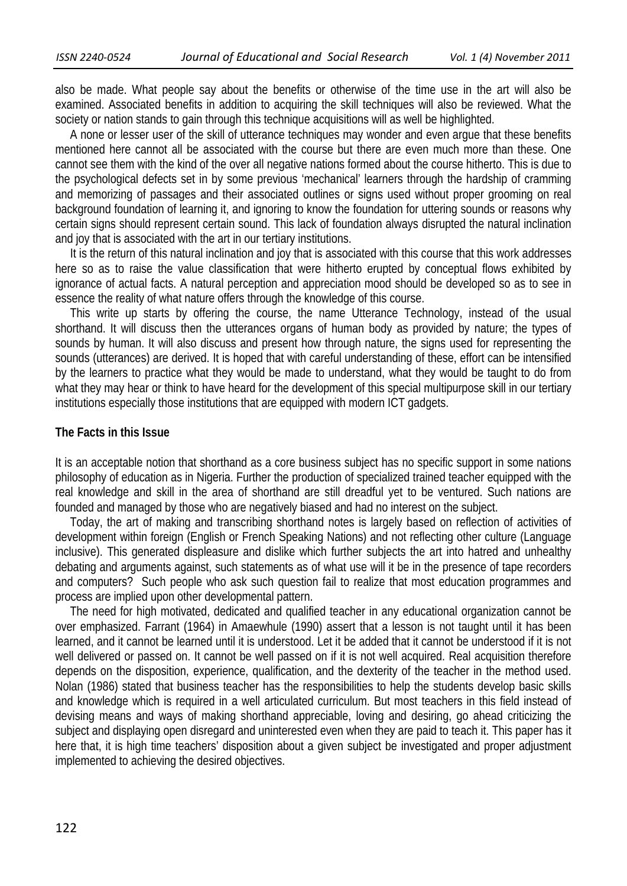also be made. What people say about the benefits or otherwise of the time use in the art will also be examined. Associated benefits in addition to acquiring the skill techniques will also be reviewed. What the society or nation stands to gain through this technique acquisitions will as well be highlighted.

 A none or lesser user of the skill of utterance techniques may wonder and even argue that these benefits mentioned here cannot all be associated with the course but there are even much more than these. One cannot see them with the kind of the over all negative nations formed about the course hitherto. This is due to the psychological defects set in by some previous 'mechanical' learners through the hardship of cramming and memorizing of passages and their associated outlines or signs used without proper grooming on real background foundation of learning it, and ignoring to know the foundation for uttering sounds or reasons why certain signs should represent certain sound. This lack of foundation always disrupted the natural inclination and joy that is associated with the art in our tertiary institutions.

 It is the return of this natural inclination and joy that is associated with this course that this work addresses here so as to raise the value classification that were hitherto erupted by conceptual flows exhibited by ignorance of actual facts. A natural perception and appreciation mood should be developed so as to see in essence the reality of what nature offers through the knowledge of this course.

 This write up starts by offering the course, the name Utterance Technology, instead of the usual shorthand. It will discuss then the utterances organs of human body as provided by nature; the types of sounds by human. It will also discuss and present how through nature, the signs used for representing the sounds (utterances) are derived. It is hoped that with careful understanding of these, effort can be intensified by the learners to practice what they would be made to understand, what they would be taught to do from what they may hear or think to have heard for the development of this special multipurpose skill in our tertiary institutions especially those institutions that are equipped with modern ICT gadgets.

#### **The Facts in this Issue**

It is an acceptable notion that shorthand as a core business subject has no specific support in some nations philosophy of education as in Nigeria. Further the production of specialized trained teacher equipped with the real knowledge and skill in the area of shorthand are still dreadful yet to be ventured. Such nations are founded and managed by those who are negatively biased and had no interest on the subject.

 Today, the art of making and transcribing shorthand notes is largely based on reflection of activities of development within foreign (English or French Speaking Nations) and not reflecting other culture (Language inclusive). This generated displeasure and dislike which further subjects the art into hatred and unhealthy debating and arguments against, such statements as of what use will it be in the presence of tape recorders and computers? Such people who ask such question fail to realize that most education programmes and process are implied upon other developmental pattern.

 The need for high motivated, dedicated and qualified teacher in any educational organization cannot be over emphasized. Farrant (1964) in Amaewhule (1990) assert that a lesson is not taught until it has been learned, and it cannot be learned until it is understood. Let it be added that it cannot be understood if it is not well delivered or passed on. It cannot be well passed on if it is not well acquired. Real acquisition therefore depends on the disposition, experience, qualification, and the dexterity of the teacher in the method used. Nolan (1986) stated that business teacher has the responsibilities to help the students develop basic skills and knowledge which is required in a well articulated curriculum. But most teachers in this field instead of devising means and ways of making shorthand appreciable, loving and desiring, go ahead criticizing the subject and displaying open disregard and uninterested even when they are paid to teach it. This paper has it here that, it is high time teachers' disposition about a given subject be investigated and proper adjustment implemented to achieving the desired objectives.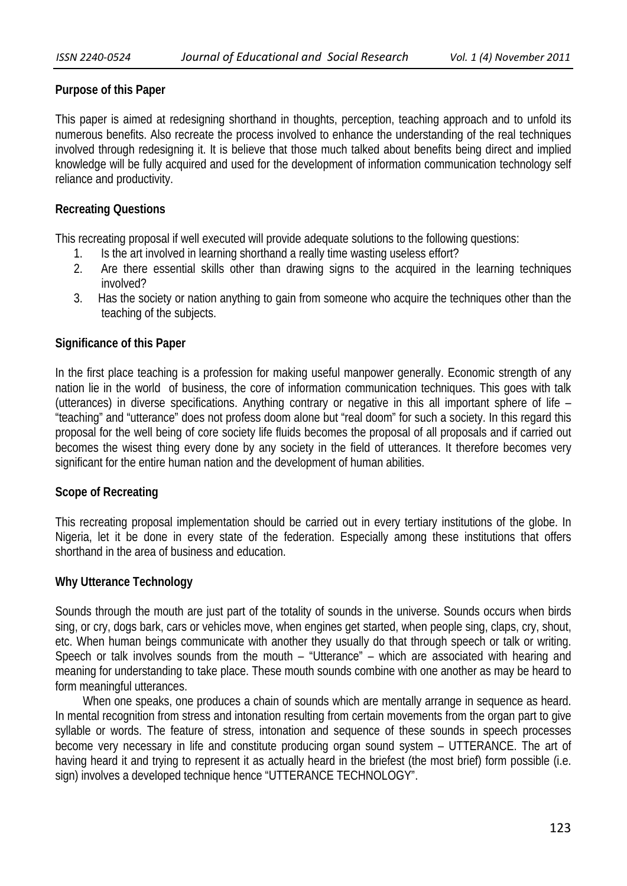### **Purpose of this Paper**

This paper is aimed at redesigning shorthand in thoughts, perception, teaching approach and to unfold its numerous benefits. Also recreate the process involved to enhance the understanding of the real techniques involved through redesigning it. It is believe that those much talked about benefits being direct and implied knowledge will be fully acquired and used for the development of information communication technology self reliance and productivity.

### **Recreating Questions**

This recreating proposal if well executed will provide adequate solutions to the following questions:

- 1. Is the art involved in learning shorthand a really time wasting useless effort?
- 2. Are there essential skills other than drawing signs to the acquired in the learning techniques involved?
- 3. Has the society or nation anything to gain from someone who acquire the techniques other than the teaching of the subjects.

### **Significance of this Paper**

In the first place teaching is a profession for making useful manpower generally. Economic strength of any nation lie in the world of business, the core of information communication techniques. This goes with talk (utterances) in diverse specifications. Anything contrary or negative in this all important sphere of life – "teaching" and "utterance" does not profess doom alone but "real doom" for such a society. In this regard this proposal for the well being of core society life fluids becomes the proposal of all proposals and if carried out becomes the wisest thing every done by any society in the field of utterances. It therefore becomes very significant for the entire human nation and the development of human abilities.

### **Scope of Recreating**

This recreating proposal implementation should be carried out in every tertiary institutions of the globe. In Nigeria, let it be done in every state of the federation. Especially among these institutions that offers shorthand in the area of business and education.

### **Why Utterance Technology**

Sounds through the mouth are just part of the totality of sounds in the universe. Sounds occurs when birds sing, or cry, dogs bark, cars or vehicles move, when engines get started, when people sing, claps, cry, shout, etc. When human beings communicate with another they usually do that through speech or talk or writing. Speech or talk involves sounds from the mouth – "Utterance" – which are associated with hearing and meaning for understanding to take place. These mouth sounds combine with one another as may be heard to form meaningful utterances.

 When one speaks, one produces a chain of sounds which are mentally arrange in sequence as heard. In mental recognition from stress and intonation resulting from certain movements from the organ part to give syllable or words. The feature of stress, intonation and sequence of these sounds in speech processes become very necessary in life and constitute producing organ sound system – UTTERANCE. The art of having heard it and trying to represent it as actually heard in the briefest (the most brief) form possible (i.e. sign) involves a developed technique hence "UTTERANCE TECHNOLOGY".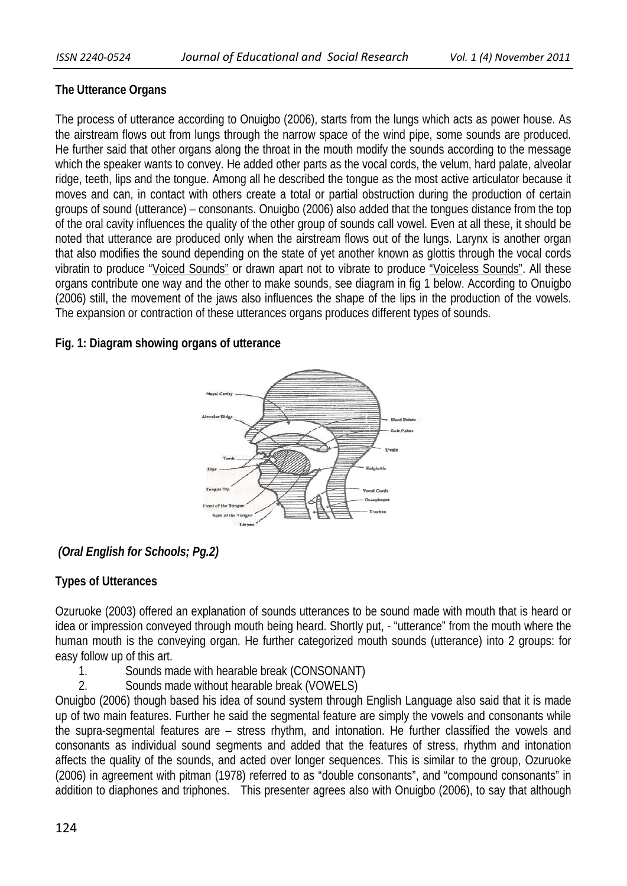## **The Utterance Organs**

The process of utterance according to Onuigbo (2006), starts from the lungs which acts as power house. As the airstream flows out from lungs through the narrow space of the wind pipe, some sounds are produced. He further said that other organs along the throat in the mouth modify the sounds according to the message which the speaker wants to convey. He added other parts as the vocal cords, the velum, hard palate, alveolar ridge, teeth, lips and the tongue. Among all he described the tongue as the most active articulator because it moves and can, in contact with others create a total or partial obstruction during the production of certain groups of sound (utterance) – consonants. Onuigbo (2006) also added that the tongues distance from the top of the oral cavity influences the quality of the other group of sounds call vowel. Even at all these, it should be noted that utterance are produced only when the airstream flows out of the lungs. Larynx is another organ that also modifies the sound depending on the state of yet another known as glottis through the vocal cords vibratin to produce "Voiced Sounds" or drawn apart not to vibrate to produce "Voiceless Sounds". All these organs contribute one way and the other to make sounds, see diagram in fig 1 below. According to Onuigbo (2006) still, the movement of the jaws also influences the shape of the lips in the production of the vowels. The expansion or contraction of these utterances organs produces different types of sounds.

## **Fig. 1: Diagram showing organs of utterance**



## *(Oral English for Schools; Pg.2)*

## **Types of Utterances**

Ozuruoke (2003) offered an explanation of sounds utterances to be sound made with mouth that is heard or idea or impression conveyed through mouth being heard. Shortly put, - "utterance" from the mouth where the human mouth is the conveying organ. He further categorized mouth sounds (utterance) into 2 groups: for easy follow up of this art.

- 1. Sounds made with hearable break (CONSONANT)
- 2. Sounds made without hearable break (VOWELS)

Onuigbo (2006) though based his idea of sound system through English Language also said that it is made up of two main features. Further he said the segmental feature are simply the vowels and consonants while the supra-segmental features are – stress rhythm, and intonation. He further classified the vowels and consonants as individual sound segments and added that the features of stress, rhythm and intonation affects the quality of the sounds, and acted over longer sequences. This is similar to the group, Ozuruoke (2006) in agreement with pitman (1978) referred to as "double consonants", and "compound consonants" in addition to diaphones and triphones. This presenter agrees also with Onuigbo (2006), to say that although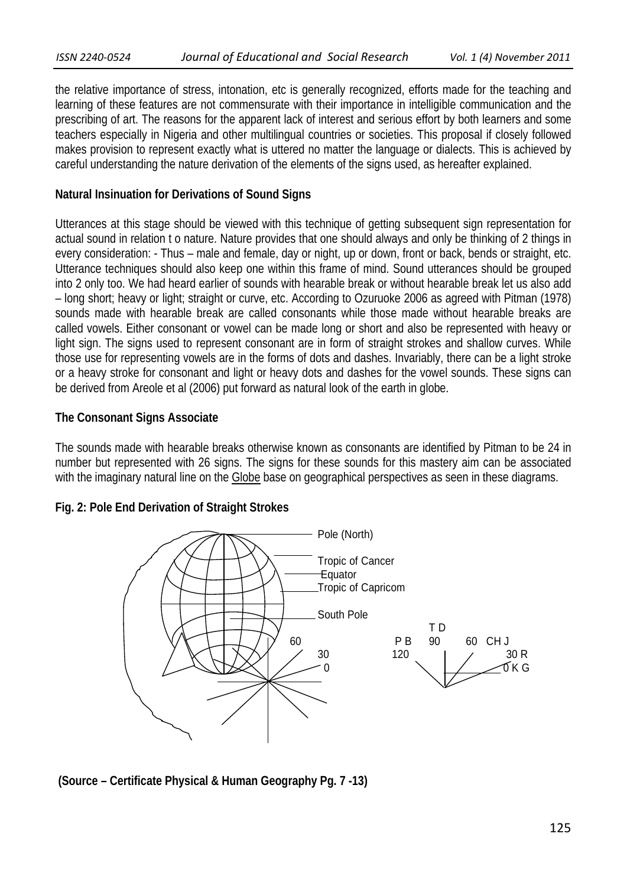the relative importance of stress, intonation, etc is generally recognized, efforts made for the teaching and learning of these features are not commensurate with their importance in intelligible communication and the prescribing of art. The reasons for the apparent lack of interest and serious effort by both learners and some teachers especially in Nigeria and other multilingual countries or societies. This proposal if closely followed makes provision to represent exactly what is uttered no matter the language or dialects. This is achieved by careful understanding the nature derivation of the elements of the signs used, as hereafter explained.

#### **Natural Insinuation for Derivations of Sound Signs**

Utterances at this stage should be viewed with this technique of getting subsequent sign representation for actual sound in relation t o nature. Nature provides that one should always and only be thinking of 2 things in every consideration: - Thus – male and female, day or night, up or down, front or back, bends or straight, etc. Utterance techniques should also keep one within this frame of mind. Sound utterances should be grouped into 2 only too. We had heard earlier of sounds with hearable break or without hearable break let us also add – long short; heavy or light; straight or curve, etc. According to Ozuruoke 2006 as agreed with Pitman (1978) sounds made with hearable break are called consonants while those made without hearable breaks are called vowels. Either consonant or vowel can be made long or short and also be represented with heavy or light sign. The signs used to represent consonant are in form of straight strokes and shallow curves. While those use for representing vowels are in the forms of dots and dashes. Invariably, there can be a light stroke or a heavy stroke for consonant and light or heavy dots and dashes for the vowel sounds. These signs can be derived from Areole et al (2006) put forward as natural look of the earth in globe.

#### **The Consonant Signs Associate**

The sounds made with hearable breaks otherwise known as consonants are identified by Pitman to be 24 in number but represented with 26 signs. The signs for these sounds for this mastery aim can be associated with the imaginary natural line on the Globe base on geographical perspectives as seen in these diagrams.

### **Fig. 2: Pole End Derivation of Straight Strokes**



 **(Source – Certificate Physical & Human Geography Pg. 7 -13)**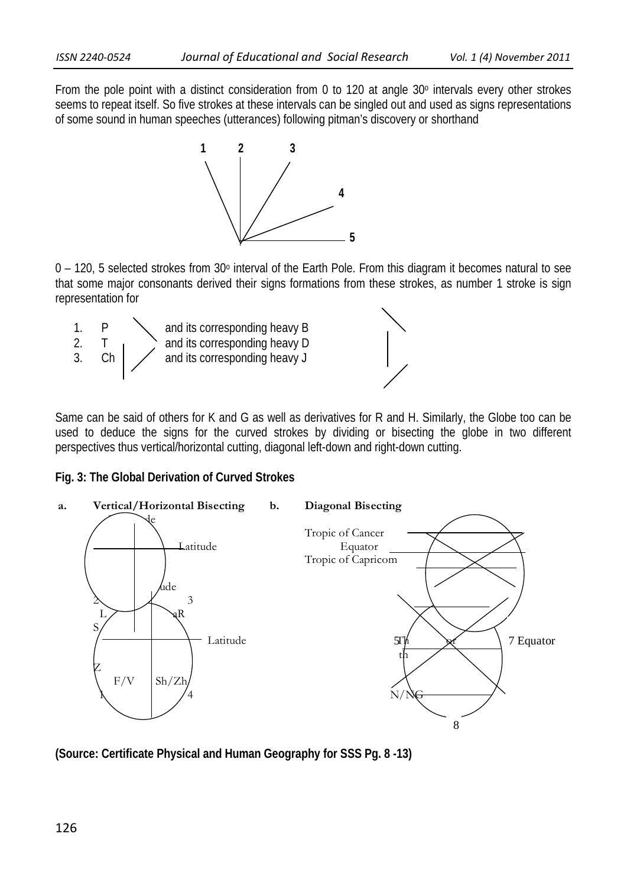From the pole point with a distinct consideration from 0 to 120 at angle  $30^{\circ}$  intervals every other strokes seems to repeat itself. So five strokes at these intervals can be singled out and used as signs representations of some sound in human speeches (utterances) following pitman's discovery or shorthand



 $0 - 120$ , 5 selected strokes from 30 $\degree$  interval of the Earth Pole. From this diagram it becomes natural to see that some major consonants derived their signs formations from these strokes, as number 1 stroke is sign representation for



Same can be said of others for K and G as well as derivatives for R and H. Similarly, the Globe too can be used to deduce the signs for the curved strokes by dividing or bisecting the globe in two different perspectives thus vertical/horizontal cutting, diagonal left-down and right-down cutting.

### **Fig. 3: The Global Derivation of Curved Strokes**



**(Source: Certificate Physical and Human Geography for SSS Pg. 8 -13)**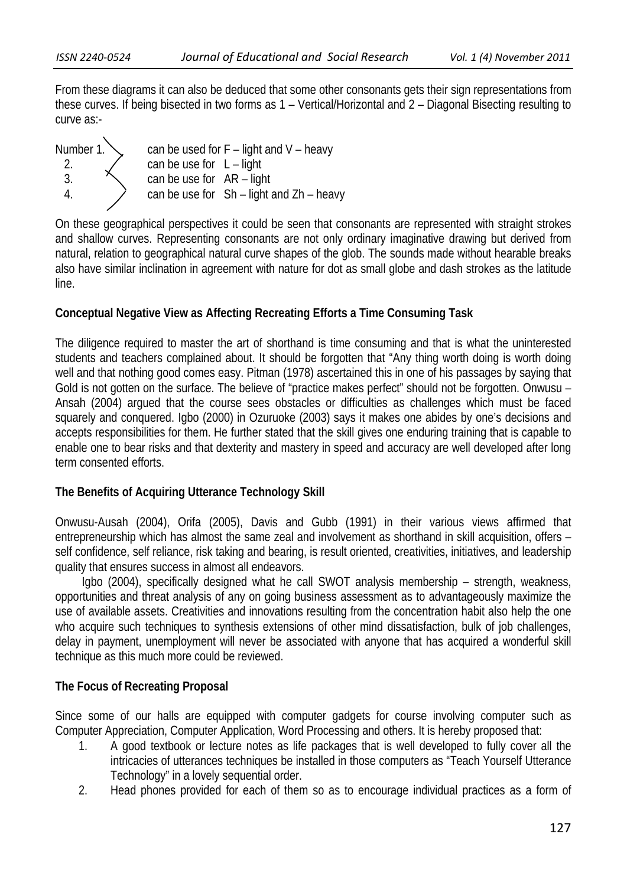From these diagrams it can also be deduced that some other consonants gets their sign representations from these curves. If being bisected in two forms as 1 – Vertical/Horizontal and 2 – Diagonal Bisecting resulting to curve as:-

Number 1.  $\searrow$  can be used for F – light and V – heavy 2.  $\angle$  can be use for  $L - light$ 3.  $\sim$  can be use for  $AR$  – light 4.  $\angle$  can be use for Sh – light and Zh – heavy

On these geographical perspectives it could be seen that consonants are represented with straight strokes and shallow curves. Representing consonants are not only ordinary imaginative drawing but derived from natural, relation to geographical natural curve shapes of the glob. The sounds made without hearable breaks also have similar inclination in agreement with nature for dot as small globe and dash strokes as the latitude line.

### **Conceptual Negative View as Affecting Recreating Efforts a Time Consuming Task**

The diligence required to master the art of shorthand is time consuming and that is what the uninterested students and teachers complained about. It should be forgotten that "Any thing worth doing is worth doing well and that nothing good comes easy. Pitman (1978) ascertained this in one of his passages by saying that Gold is not gotten on the surface. The believe of "practice makes perfect" should not be forgotten. Onwusu – Ansah (2004) argued that the course sees obstacles or difficulties as challenges which must be faced squarely and conquered. Igbo (2000) in Ozuruoke (2003) says it makes one abides by one's decisions and accepts responsibilities for them. He further stated that the skill gives one enduring training that is capable to enable one to bear risks and that dexterity and mastery in speed and accuracy are well developed after long term consented efforts.

### **The Benefits of Acquiring Utterance Technology Skill**

Onwusu-Ausah (2004), Orifa (2005), Davis and Gubb (1991) in their various views affirmed that entrepreneurship which has almost the same zeal and involvement as shorthand in skill acquisition, offers – self confidence, self reliance, risk taking and bearing, is result oriented, creativities, initiatives, and leadership quality that ensures success in almost all endeavors.

 Igbo (2004), specifically designed what he call SWOT analysis membership – strength, weakness, opportunities and threat analysis of any on going business assessment as to advantageously maximize the use of available assets. Creativities and innovations resulting from the concentration habit also help the one who acquire such techniques to synthesis extensions of other mind dissatisfaction, bulk of job challenges, delay in payment, unemployment will never be associated with anyone that has acquired a wonderful skill technique as this much more could be reviewed.

## **The Focus of Recreating Proposal**

Since some of our halls are equipped with computer gadgets for course involving computer such as Computer Appreciation, Computer Application, Word Processing and others. It is hereby proposed that:

- 1. A good textbook or lecture notes as life packages that is well developed to fully cover all the intricacies of utterances techniques be installed in those computers as "Teach Yourself Utterance Technology" in a lovely sequential order.
- 2. Head phones provided for each of them so as to encourage individual practices as a form of